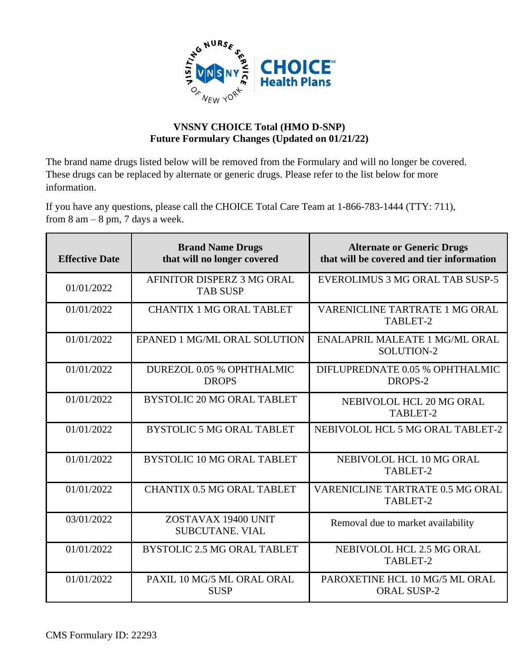

## **VNSNY CHOICE Total (HMO D-SNP) Future Formulary Changes (Updated on 01/21/22)**

The brand name drugs listed below will be removed from the Formulary and will no longer be covered. These drugs can be replaced by alternate or generic drugs. Please refer to the list below for more information.

If you have any questions, please call the CHOICE Total Care Team at 1-866-783-1444 (TTY: 711), from  $8 \text{ am} - 8 \text{ pm}$ ,  $7 \text{ days}$  a week.

| <b>Effective Date</b> | <b>Brand Name Drugs</b><br>that will no longer covered | <b>Alternate or Generic Drugs</b><br>that will be covered and tier information |
|-----------------------|--------------------------------------------------------|--------------------------------------------------------------------------------|
| 01/01/2022            | AFINITOR DISPERZ 3 MG ORAL<br><b>TAB SUSP</b>          | EVEROLIMUS 3 MG ORAL TAB SUSP-5                                                |
| 01/01/2022            | <b>CHANTIX 1 MG ORAL TABLET</b>                        | <b>VARENICLINE TARTRATE 1 MG ORAL</b><br>TABLET-2                              |
| 01/01/2022            | EPANED 1 MG/ML ORAL SOLUTION                           | ENALAPRIL MALEATE 1 MG/ML ORAL<br>SOLUTION-2                                   |
| 01/01/2022            | DUREZOL 0.05 % OPHTHALMIC<br><b>DROPS</b>              | DIFLUPREDNATE 0.05 % OPHTHALMIC<br>DROPS-2                                     |
| 01/01/2022            | <b>BYSTOLIC 20 MG ORAL TABLET</b>                      | NEBIVOLOL HCL 20 MG ORAL<br>TABLET-2                                           |
| 01/01/2022            | <b>BYSTOLIC 5 MG ORAL TABLET</b>                       | NEBIVOLOL HCL 5 MG ORAL TABLET-2                                               |
| 01/01/2022            | <b>BYSTOLIC 10 MG ORAL TABLET</b>                      | NEBIVOLOL HCL 10 MG ORAL<br>TABLET-2                                           |
| 01/01/2022            | <b>CHANTIX 0.5 MG ORAL TABLET</b>                      | VARENICLINE TARTRATE 0.5 MG ORAL<br>TABLET-2                                   |
| 03/01/2022            | ZOSTAVAX 19400 UNIT<br><b>SUBCUTANE, VIAL</b>          | Removal due to market availability                                             |
| 01/01/2022            | <b>BYSTOLIC 2.5 MG ORAL TABLET</b>                     | NEBIVOLOL HCL 2.5 MG ORAL<br>TABLET-2                                          |
| 01/01/2022            | PAXIL 10 MG/5 ML ORAL ORAL<br><b>SUSP</b>              | PAROXETINE HCL 10 MG/5 ML ORAL<br><b>ORAL SUSP-2</b>                           |